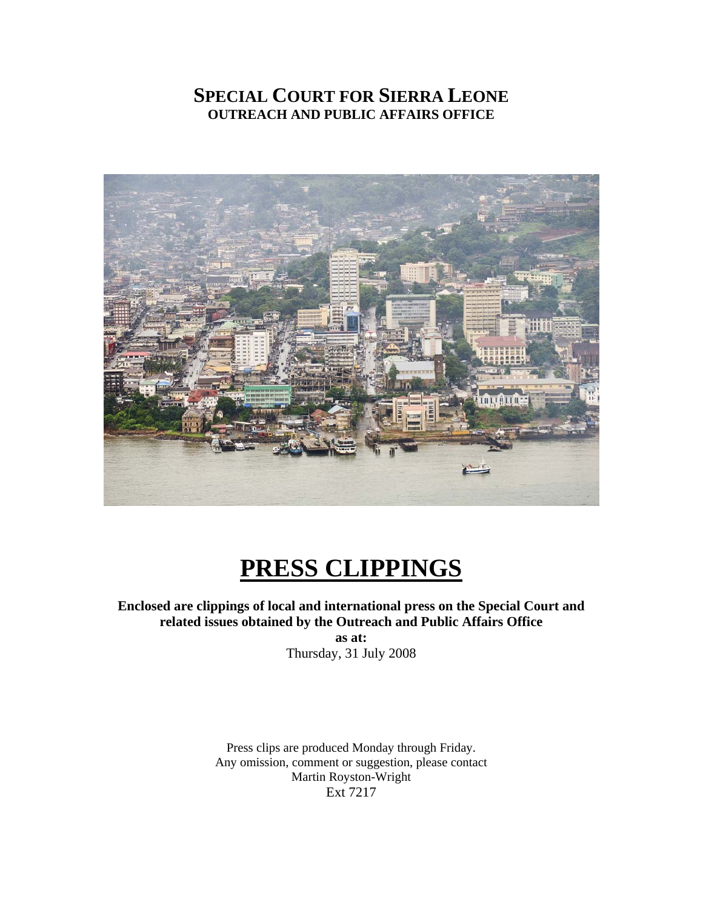### **SPECIAL COURT FOR SIERRA LEONE OUTREACH AND PUBLIC AFFAIRS OFFICE**



# **PRESS CLIPPINGS**

**Enclosed are clippings of local and international press on the Special Court and related issues obtained by the Outreach and Public Affairs Office as at:** 

Thursday, 31 July 2008

Press clips are produced Monday through Friday. Any omission, comment or suggestion, please contact Martin Royston-Wright Ext 7217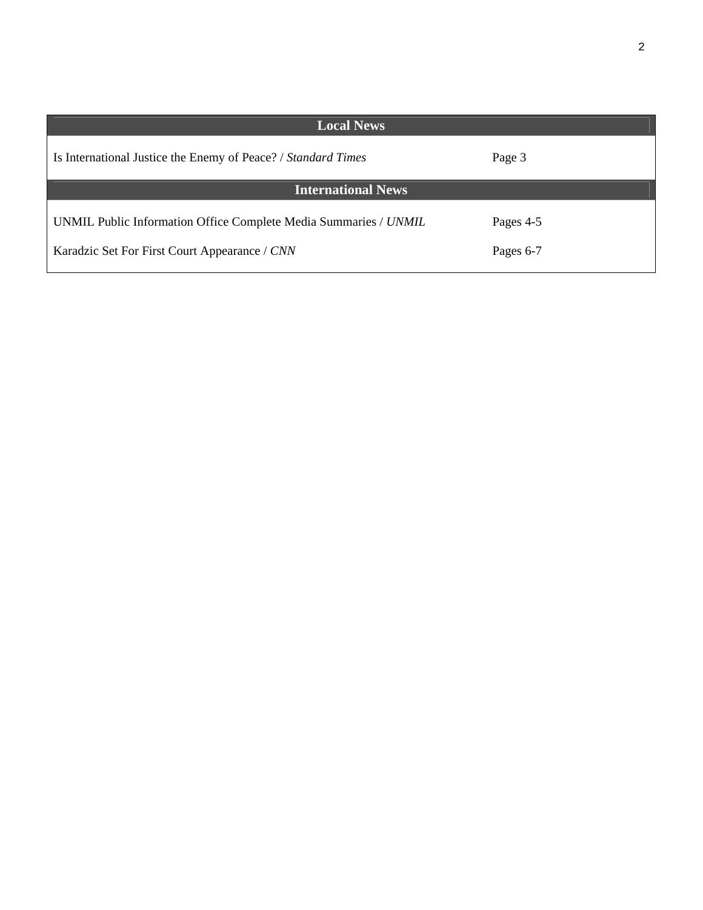| <b>Local News</b>                                                |           |
|------------------------------------------------------------------|-----------|
| Is International Justice the Enemy of Peace? / Standard Times    | Page 3    |
| <b>International News</b>                                        |           |
| UNMIL Public Information Office Complete Media Summaries / UNMIL | Pages 4-5 |
| Karadzic Set For First Court Appearance / CNN                    | Pages 6-7 |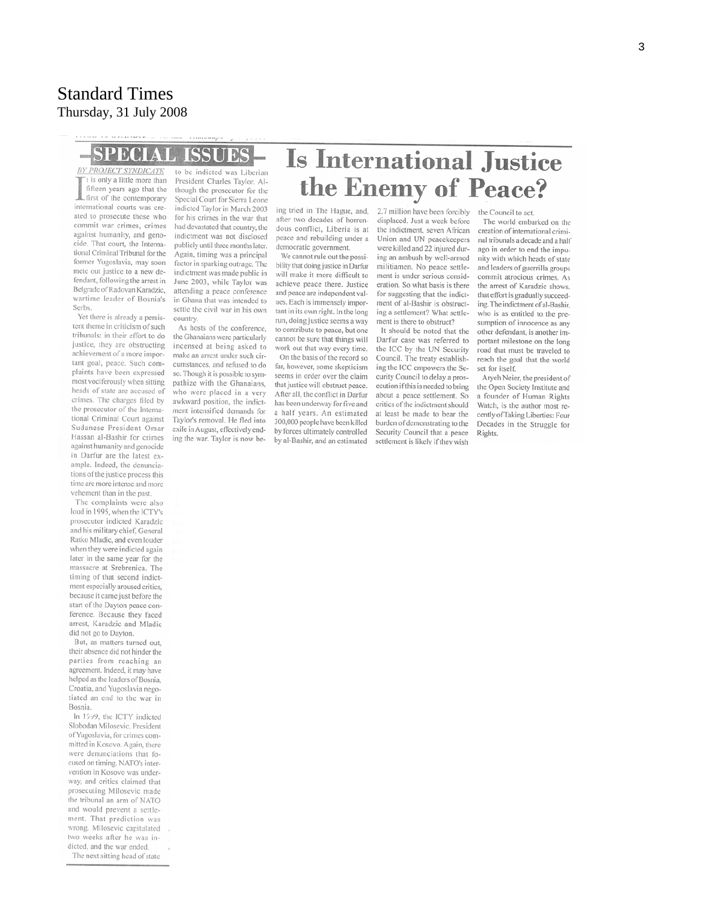### Standard Times Thursday, 31 July 2008

#### **ISSUES SPECIA**

BY PROJECT SYNDICATE t is only a little more than fifteen years ago that the first of the contemporary international courts was created to prosecute those who commit war crimes, crimes against humanity, and genocide. That court, the International Criminal Tribunal for the former Yugoslavia, may soon mete out justice to a new defendant, following the arrest in Belgrade of Radovan Karadzic wartime leader of Bosnia's Serbs.

Yet there is already a persistent theme in criticism of such tribunals: in their effort to do justice, they are obstructing achievement of a more important goal, peace. Such complaints have been expressed most vociferously when sitting heads of state are accused of crimes. The charges filed by the prosecutor of the International Criminal Court against Sudanese President Omar Hassan al-Bashir for crimes against humanity and genocide in Darfur are the latest example. Indeed, the denunciations of the justice process this time are more intense and more vehement than in the past.

The complaints were also loud in 1995, when the ICTY's prosecutor indicted Karadzic and his military chief, General Ratko Mladic, and even louder when they were indicted again later in the same year for the massacre at Srebrenica. The timing of that second indictment especially aroused critics, because it came just before the start of the Dayton peace conference. Because they faced arrest, Karadzic and Mladic did not go to Dayton.

But, as matters turned out. their absence did not hinder the parties from reaching an agreement. Indeed, it may have helped as the leaders of Bosnia, Croatia, and Yugoslavia negotiated an end to the war in Bosnia.

In 1999, the ICTY indicted Slobodan Milosevic, President of Yugoslavia, for crimes committed in Kosovo. Again, there were denunciations that focused on timing. NATO's intervention in Kosovo was underway, and critics claimed that prosecuting Milosevic made the tribunal an arm of NATO and would prevent a settlement. That prediction was wrong. Milosevic capitulated two weeks after he was indicted, and the war ended. The next sitting head of state

to be indicted was Liberian President Charles Taylor. Although the prosecutor for the Special Court for Sierra Leone indicted Taylor in March 2003 for his crimes in the war that had devastated that country, the indictment was not disclosed publicly until three months later. Again, timing was a principal factor in sparking outrage. The indictment was made public in June 2003, while Taylor was attending a peace conference in Ghana that was intended to settle the civil war in his own country.

As hosts of the conference. the Ghanaians were particularly incensed at being asked to make an arrest under such circumstances, and refused to do so. Though it is possible to sympathize with the Ghanaians, who were placed in a very awkward position, the indictment intensified demands for Taylor's removal. He fled into exile in August, effectively ending the war. Taylor is now be-

# **Is International Justice** the Enemy of Peace?

ing tried in The Hague, and, after two decades of horrendous conflict, Liberia is at peace and rebuilding under a democratic government.

We cannot rule out the possibility that doing justice in Darfur will make it more difficult to achieve peace there. Justice and peace are independent values. Each is immensely important in its own right. In the long run, doing justice seems a way to contribute to peace, but one cannot be sure that things will work out that way every time. On the basis of the record so far, however, some skepticism seems in order over the claim that justice will obstruct peace. After all, the conflict in Darfur has been underway for five and a half years. An estimated 300,000 people have been killed by forces ultimately controlled by al-Bashir, and an estimated

#### 2.7 million have been forcibly displaced. Just a week before the indictment, seven African Union and UN peacekeepers were killed and 22 injured during an ambush by well-armed militiamen. No peace settlement is under serious consideration. So what basis is there for suggesting that the indictment of al-Bashir is obstructing a settlement? What settlement is there to obstruct?

It should be noted that the Darfur case was referred to the ICC by the UN Security Council. The treaty establishing the ICC empowers the Security Council to delay a prosecution if this is needed to bring about a peace settlement. So critics of the indictment should at least be made to bear the burden of demonstrating to the Security Council that a peace settlement is likely if they wish

the Council to act.

The world embarked on the creation of international criminal tribunals a decade and a half ago in order to end the impunity with which heads of state and leaders of guerrilla groups commit atrocious crimes. As the arrest of Karadzic shows. that effort is gradually succeeding. The indictment of al-Bashir, who is as entitled to the presumption of innocence as any other defendant, is another important milestone on the long road that must be traveled to reach the goal that the world set for itself.

Aryeh Neier, the president of the Open Society Institute and a founder of Human Rights Watch, is the author most recently of Taking Liberties: Four Decades in the Struggle for Rights.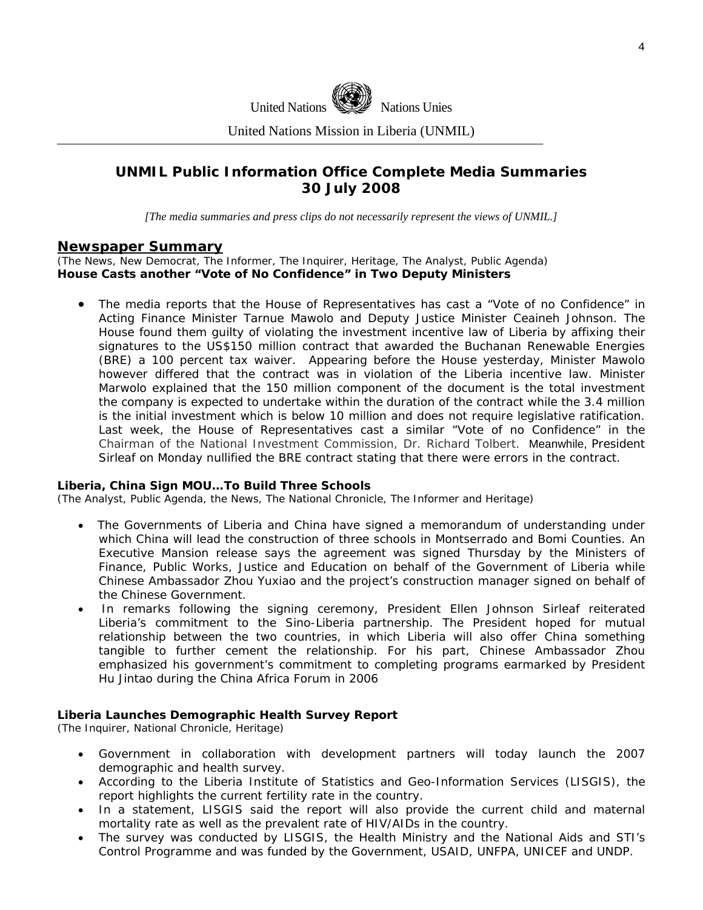

United Nations Mission in Liberia (UNMIL)

#### **UNMIL Public Information Office Complete Media Summaries 30 July 2008**

*[The media summaries and press clips do not necessarily represent the views of UNMIL.]* 

#### **Newspaper Summary**

(The News, New Democrat, The Informer, The Inquirer, Heritage, The Analyst, Public Agenda) **House Casts another "Vote of No Confidence" in Two Deputy Ministers** 

• The media reports that the House of Representatives has cast a "Vote of no Confidence" in Acting Finance Minister Tarnue Mawolo and Deputy Justice Minister Ceaineh Johnson. The House found them guilty of violating the investment incentive law of Liberia by affixing their signatures to the US\$150 million contract that awarded the Buchanan Renewable Energies (BRE) a 100 percent tax waiver. Appearing before the House yesterday, Minister Mawolo however differed that the contract was in violation of the Liberia incentive law. Minister Marwolo explained that the 150 million component of the document is the total investment the company is expected to undertake within the duration of the contract while the 3.4 million is the initial investment which is below 10 million and does not require legislative ratification. Last week, the House of Representatives cast a similar "Vote of no Confidence" in the Chairman of the National Investment Commission, Dr. Richard Tolbert. Meanwhile, President Sirleaf on Monday nullified the BRE contract stating that there were errors in the contract.

#### **Liberia, China Sign MOU…To Build Three Schools**

(The Analyst, Public Agenda, the News, The National Chronicle, The Informer and Heritage)

- The Governments of Liberia and China have signed a memorandum of understanding under which China will lead the construction of three schools in Montserrado and Bomi Counties. An Executive Mansion release says the agreement was signed Thursday by the Ministers of Finance, Public Works, Justice and Education on behalf of the Government of Liberia while Chinese Ambassador Zhou Yuxiao and the project's construction manager signed on behalf of the Chinese Government.
- In remarks following the signing ceremony, President Ellen Johnson Sirleaf reiterated Liberia's commitment to the Sino-Liberia partnership. The President hoped for mutual relationship between the two countries, in which Liberia will also offer China something tangible to further cement the relationship. For his part, Chinese Ambassador Zhou emphasized his government's commitment to completing programs earmarked by President Hu Jintao during the China Africa Forum in 2006

#### **Liberia Launches Demographic Health Survey Report**

(The Inquirer, National Chronicle, Heritage)

- Government in collaboration with development partners will today launch the 2007 demographic and health survey.
- According to the Liberia Institute of Statistics and Geo-Information Services (LISGIS), the report highlights the current fertility rate in the country.
- In a statement, LISGIS said the report will also provide the current child and maternal mortality rate as well as the prevalent rate of HIV/AIDs in the country.
- The survey was conducted by LISGIS, the Health Ministry and the National Aids and STI's Control Programme and was funded by the Government, USAID, UNFPA, UNICEF and UNDP.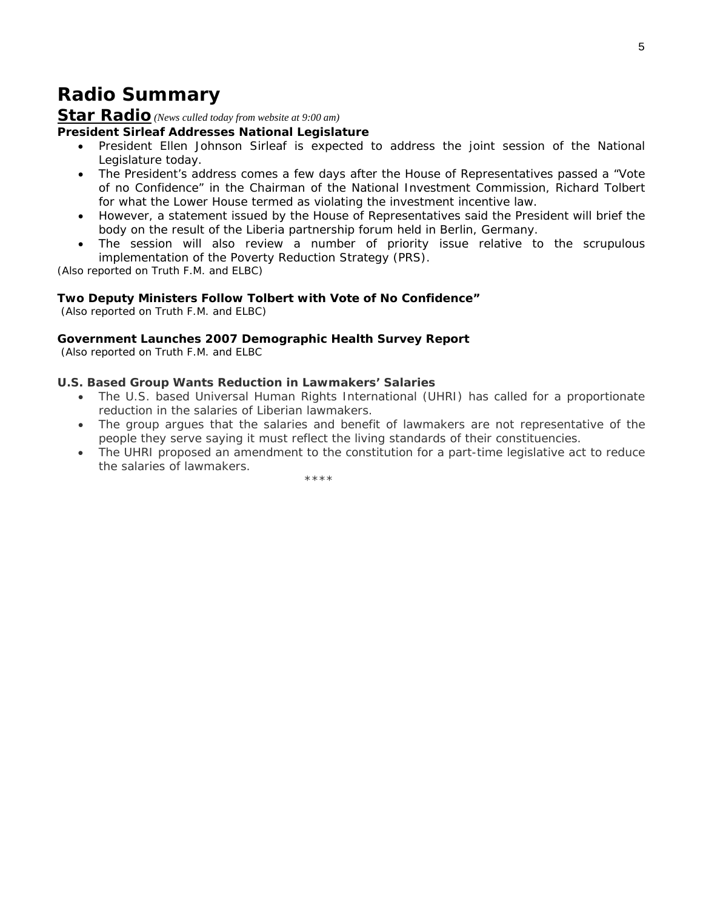## **Radio Summary**

#### **Star Radio** *(News culled today from website at 9:00 am)*

#### **President Sirleaf Addresses National Legislature**

- President Ellen Johnson Sirleaf is expected to address the joint session of the National Legislature today.
- The President's address comes a few days after the House of Representatives passed a "Vote of no Confidence" in the Chairman of the National Investment Commission, Richard Tolbert for what the Lower House termed as violating the investment incentive law.
- However, a statement issued by the House of Representatives said the President will brief the body on the result of the Liberia partnership forum held in Berlin, Germany.
- The session will also review a number of priority issue relative to the scrupulous implementation of the Poverty Reduction Strategy (PRS).

*(Also reported on Truth F.M. and ELBC)*

#### **Two Deputy Ministers Follow Tolbert with Vote of No Confidence"**

 *(Also reported on Truth F.M. and ELBC)*

#### **Government Launches 2007 Demographic Health Survey Report**

 *(Also reported on Truth F.M. and ELBC*

#### **U.S. Based Group Wants Reduction in Lawmakers' Salaries**

- The U.S. based Universal Human Rights International (UHRI) has called for a proportionate reduction in the salaries of Liberian lawmakers.
- The group argues that the salaries and benefit of lawmakers are not representative of the people they serve saying it must reflect the living standards of their constituencies.
- The UHRI proposed an amendment to the constitution for a part-time legislative act to reduce the salaries of lawmakers.

\*\*\*\*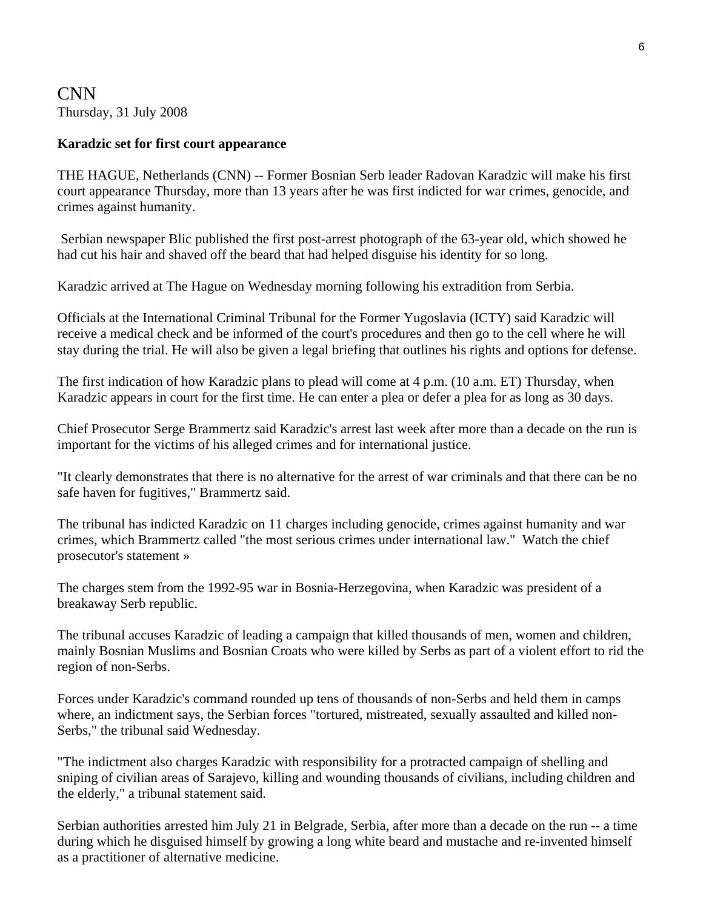### CNN Thursday, 31 July 2008

#### **Karadzic set for first court appearance**

THE HAGUE, Netherlands (CNN) -- Former Bosnian Serb leader Radovan Karadzic will make his first court appearance Thursday, more than 13 years after he was first indicted for war crimes, genocide, and crimes against humanity.

 Serbian newspaper Blic published the first post-arrest photograph of the 63-year old, which showed he had cut his hair and shaved off the beard that had helped disguise his identity for so long.

Karadzic arrived at The Hague on Wednesday morning following his extradition from Serbia.

Officials at the International Criminal Tribunal for the Former Yugoslavia (ICTY) said Karadzic will receive a medical check and be informed of the court's procedures and then go to the cell where he will stay during the trial. He will also be given a legal briefing that outlines his rights and options for defense.

The first indication of how Karadzic plans to plead will come at 4 p.m. (10 a.m. ET) Thursday, when Karadzic appears in court for the first time. He can enter a plea or defer a plea for as long as 30 days.

Chief Prosecutor Serge Brammertz said Karadzic's arrest last week after more than a decade on the run is important for the victims of his alleged crimes and for international justice.

"It clearly demonstrates that there is no alternative for the arrest of war criminals and that there can be no safe haven for fugitives," Brammertz said.

The tribunal has indicted Karadzic on 11 charges including genocide, crimes against humanity and war crimes, which Brammertz called "the most serious crimes under international law." Watch the chief prosecutor's statement »

The charges stem from the 1992-95 war in Bosnia-Herzegovina, when Karadzic was president of a breakaway Serb republic.

The tribunal accuses Karadzic of leading a campaign that killed thousands of men, women and children, mainly Bosnian Muslims and Bosnian Croats who were killed by Serbs as part of a violent effort to rid the region of non-Serbs.

Forces under Karadzic's command rounded up tens of thousands of non-Serbs and held them in camps where, an indictment says, the Serbian forces "tortured, mistreated, sexually assaulted and killed non-Serbs," the tribunal said Wednesday.

"The indictment also charges Karadzic with responsibility for a protracted campaign of shelling and sniping of civilian areas of Sarajevo, killing and wounding thousands of civilians, including children and the elderly," a tribunal statement said.

Serbian authorities arrested him July 21 in Belgrade, Serbia, after more than a decade on the run -- a time during which he disguised himself by growing a long white beard and mustache and re-invented himself as a practitioner of alternative medicine.